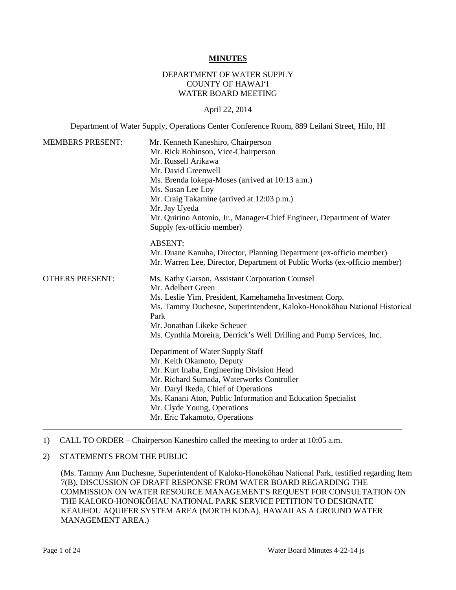#### **MINUTES**

### DEPARTMENT OF WATER SUPPLY COUNTY OF HAWAI'I WATER BOARD MEETING

#### April 22, 2014

Department of Water Supply, Operations Center Conference Room, 889 Leilani Street, Hilo, HI

| <b>MEMBERS PRESENT:</b> | Mr. Kenneth Kaneshiro, Chairperson<br>Mr. Rick Robinson, Vice-Chairperson<br>Mr. Russell Arikawa<br>Mr. David Greenwell<br>Ms. Brenda Iokepa-Moses (arrived at 10:13 a.m.)<br>Ms. Susan Lee Loy<br>Mr. Craig Takamine (arrived at 12:03 p.m.)<br>Mr. Jay Uyeda<br>Mr. Quirino Antonio, Jr., Manager-Chief Engineer, Department of Water<br>Supply (ex-officio member) |
|-------------------------|-----------------------------------------------------------------------------------------------------------------------------------------------------------------------------------------------------------------------------------------------------------------------------------------------------------------------------------------------------------------------|
|                         | <b>ABSENT:</b><br>Mr. Duane Kanuha, Director, Planning Department (ex-officio member)<br>Mr. Warren Lee, Director, Department of Public Works (ex-officio member)                                                                                                                                                                                                     |
| <b>OTHERS PRESENT:</b>  | Ms. Kathy Garson, Assistant Corporation Counsel<br>Mr. Adelbert Green<br>Ms. Leslie Yim, President, Kamehameha Investment Corp.<br>Ms. Tammy Duchesne, Superintendent, Kaloko-Honokohau National Historical<br>Park<br>Mr. Jonathan Likeke Scheuer<br>Ms. Cynthia Moreira, Derrick's Well Drilling and Pump Services, Inc.                                            |
|                         | Department of Water Supply Staff<br>Mr. Keith Okamoto, Deputy<br>Mr. Kurt Inaba, Engineering Division Head<br>Mr. Richard Sumada, Waterworks Controller<br>Mr. Daryl Ikeda, Chief of Operations<br>Ms. Kanani Aton, Public Information and Education Specialist<br>Mr. Clyde Young, Operations<br>Mr. Eric Takamoto, Operations                                       |

#### 1) CALL TO ORDER – Chairperson Kaneshiro called the meeting to order at 10:05 a.m.

### 2) STATEMENTS FROM THE PUBLIC

(Ms. Tammy Ann Duchesne, Superintendent of Kaloko-Honokōhau National Park, testified regarding Item 7(B), DISCUSSION OF DRAFT RESPONSE FROM WATER BOARD REGARDING THE COMMISSION ON WATER RESOURCE MANAGEMENT'S REQUEST FOR CONSULTATION ON THE KALOKO-HONOKŌHAU NATIONAL PARK SERVICE PETITION TO DESIGNATE KEAUHOU AQUIFER SYSTEM AREA (NORTH KONA), HAWAII AS A GROUND WATER MANAGEMENT AREA.)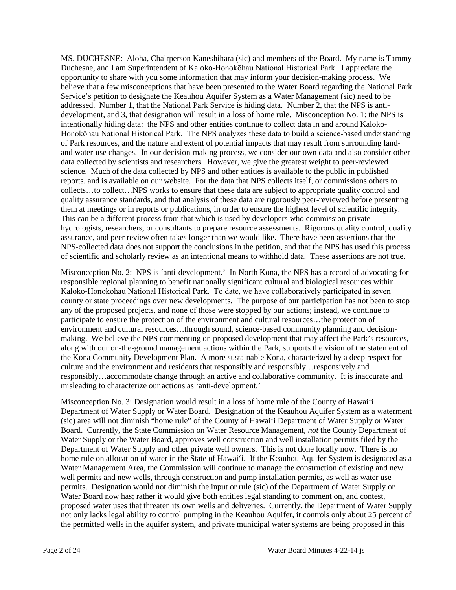MS. DUCHESNE: Aloha, Chairperson Kaneshihara (sic) and members of the Board. My name is Tammy Duchesne, and I am Superintendent of Kaloko-Honokōhau National Historical Park. I appreciate the opportunity to share with you some information that may inform your decision-making process. We believe that a few misconceptions that have been presented to the Water Board regarding the National Park Service's petition to designate the Keauhou Aquifer System as a Water Management (sic) need to be addressed. Number 1, that the National Park Service is hiding data. Number 2, that the NPS is antidevelopment, and 3, that designation will result in a loss of home rule. Misconception No. 1: the NPS is intentionally hiding data: the NPS and other entities continue to collect data in and around Kaloko-Honokōhau National Historical Park. The NPS analyzes these data to build a science-based understanding of Park resources, and the nature and extent of potential impacts that may result from surrounding landand water-use changes. In our decision-making process, we consider our own data and also consider other data collected by scientists and researchers. However, we give the greatest weight to peer-reviewed science. Much of the data collected by NPS and other entities is available to the public in published reports, and is available on our website. For the data that NPS collects itself, or commissions others to collects…to collect…NPS works to ensure that these data are subject to appropriate quality control and quality assurance standards, and that analysis of these data are rigorously peer-reviewed before presenting them at meetings or in reports or publications, in order to ensure the highest level of scientific integrity. This can be a different process from that which is used by developers who commission private hydrologists, researchers, or consultants to prepare resource assessments. Rigorous quality control, quality assurance, and peer review often takes longer than we would like. There have been assertions that the NPS-collected data does not support the conclusions in the petition, and that the NPS has used this process of scientific and scholarly review as an intentional means to withhold data. These assertions are not true.

Misconception No. 2: NPS is 'anti-development.' In North Kona, the NPS has a record of advocating for responsible regional planning to benefit nationally significant cultural and biological resources within Kaloko-Honokōhau National Historical Park. To date, we have collaboratively participated in seven county or state proceedings over new developments. The purpose of our participation has not been to stop any of the proposed projects, and none of those were stopped by our actions; instead, we continue to participate to ensure the protection of the environment and cultural resources…the protection of environment and cultural resources…through sound, science-based community planning and decisionmaking. We believe the NPS commenting on proposed development that may affect the Park's resources, along with our on-the-ground management actions within the Park, supports the vision of the statement of the Kona Community Development Plan. A more sustainable Kona, characterized by a deep respect for culture and the environment and residents that responsibly and responsibly…responsively and responsibly…accommodate change through an active and collaborative community. It is inaccurate and misleading to characterize our actions as 'anti-development.'

Misconception No. 3: Designation would result in a loss of home rule of the County of Hawai'i Department of Water Supply or Water Board. Designation of the Keauhou Aquifer System as a waterment (sic) area will not diminish "home rule" of the County of Hawai'i Department of Water Supply or Water Board. Currently, the State Commission on Water Resource Management, *not* the County Department of Water Supply or the Water Board, approves well construction and well installation permits filed by the Department of Water Supply and other private well owners. This is not done locally now. There is no home rule on allocation of water in the State of Hawai'i. If the Keauhou Aquifer System is designated as a Water Management Area, the Commission will continue to manage the construction of existing and new well permits and new wells, through construction and pump installation permits, as well as water use permits. Designation would not diminish the input or rule (sic) of the Department of Water Supply or Water Board now has; rather it would give both entities legal standing to comment on, and contest, proposed water uses that threaten its own wells and deliveries. Currently, the Department of Water Supply not only lacks legal ability to control pumping in the Keauhou Aquifer, it controls only about 25 percent of the permitted wells in the aquifer system, and private municipal water systems are being proposed in this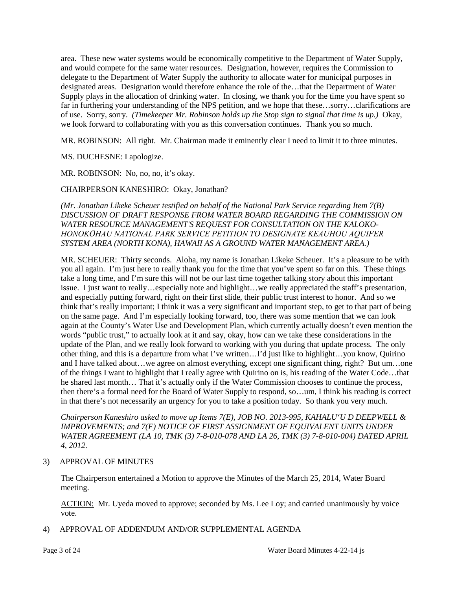area. These new water systems would be economically competitive to the Department of Water Supply, and would compete for the same water resources. Designation, however, requires the Commission to delegate to the Department of Water Supply the authority to allocate water for municipal purposes in designated areas. Designation would therefore enhance the role of the…that the Department of Water Supply plays in the allocation of drinking water. In closing, we thank you for the time you have spent so far in furthering your understanding of the NPS petition, and we hope that these…sorry…clarifications are of use. Sorry, sorry. *(Timekeeper Mr. Robinson holds up the Stop sign to signal that time is up.)* Okay, we look forward to collaborating with you as this conversation continues. Thank you so much.

MR. ROBINSON: All right. Mr. Chairman made it eminently clear I need to limit it to three minutes.

MS. DUCHESNE: I apologize.

MR. ROBINSON: No, no, no, it's okay.

CHAIRPERSON KANESHIRO: Okay, Jonathan?

*(Mr. Jonathan Likeke Scheuer testified on behalf of the National Park Service regarding Item 7(B) DISCUSSION OF DRAFT RESPONSE FROM WATER BOARD REGARDING THE COMMISSION ON WATER RESOURCE MANAGEMENT'S REQUEST FOR CONSULTATION ON THE KALOKO-HONOKŌHAU NATIONAL PARK SERVICE PETITION TO DESIGNATE KEAUHOU AQUIFER SYSTEM AREA (NORTH KONA), HAWAII AS A GROUND WATER MANAGEMENT AREA.)*

MR. SCHEUER: Thirty seconds. Aloha, my name is Jonathan Likeke Scheuer. It's a pleasure to be with you all again. I'm just here to really thank you for the time that you've spent so far on this. These things take a long time, and I'm sure this will not be our last time together talking story about this important issue. I just want to really…especially note and highlight…we really appreciated the staff's presentation, and especially putting forward, right on their first slide, their public trust interest to honor. And so we think that's really important; I think it was a very significant and important step, to get to that part of being on the same page. And I'm especially looking forward, too, there was some mention that we can look again at the County's Water Use and Development Plan, which currently actually doesn't even mention the words "public trust," to actually look at it and say, okay, how can we take these considerations in the update of the Plan, and we really look forward to working with you during that update process. The only other thing, and this is a departure from what I've written…I'd just like to highlight…you know, Quirino and I have talked about…we agree on almost everything, except one significant thing, right? But um…one of the things I want to highlight that I really agree with Quirino on is, his reading of the Water Code…that he shared last month… That it's actually only if the Water Commission chooses to continue the process, then there's a formal need for the Board of Water Supply to respond, so…um, I think his reading is correct in that there's not necessarily an urgency for you to take a position today. So thank you very much.

*Chairperson Kaneshiro asked to move up Items 7(E), JOB NO. 2013-995, KAHALU'U D DEEPWELL & IMPROVEMENTS; and 7(F) NOTICE OF FIRST ASSIGNMENT OF EQUIVALENT UNITS UNDER WATER AGREEMENT (LA 10, TMK (3) 7-8-010-078 AND LA 26, TMK (3) 7-8-010-004) DATED APRIL 4, 2012.*

### 3) APPROVAL OF MINUTES

The Chairperson entertained a Motion to approve the Minutes of the March 25, 2014, Water Board meeting.

ACTION: Mr. Uyeda moved to approve; seconded by Ms. Lee Loy; and carried unanimously by voice vote.

4) APPROVAL OF ADDENDUM AND/OR SUPPLEMENTAL AGENDA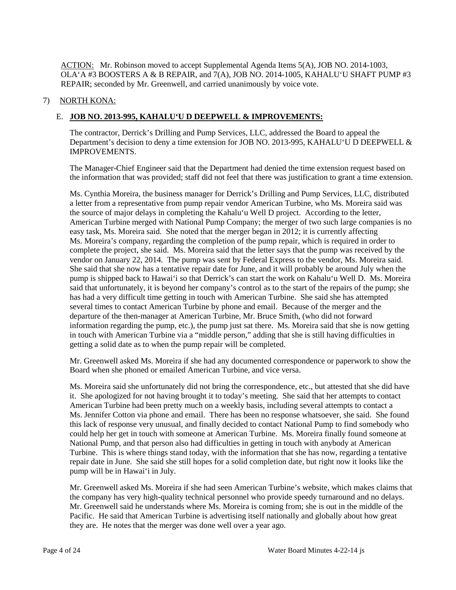ACTION: Mr. Robinson moved to accept Supplemental Agenda Items 5(A), JOB NO. 2014-1003, OLA'A #3 BOOSTERS A & B REPAIR, and 7(A), JOB NO. 2014-1005, KAHALU'U SHAFT PUMP #3 REPAIR; seconded by Mr. Greenwell, and carried unanimously by voice vote.

### 7) NORTH KONA:

# E. **JOB NO. 2013-995, KAHALU'U D DEEPWELL & IMPROVEMENTS:**

The contractor, Derrick's Drilling and Pump Services, LLC, addressed the Board to appeal the Department's decision to deny a time extension for JOB NO. 2013-995, KAHALU'U D DEEPWELL & IMPROVEMENTS.

The Manager-Chief Engineer said that the Department had denied the time extension request based on the information that was provided; staff did not feel that there was justification to grant a time extension.

Ms. Cynthia Moreira, the business manager for Derrick's Drilling and Pump Services, LLC, distributed a letter from a representative from pump repair vendor American Turbine, who Ms. Moreira said was the source of major delays in completing the Kahalu'u Well D project. According to the letter, American Turbine merged with National Pump Company; the merger of two such large companies is no easy task, Ms. Moreira said. She noted that the merger began in 2012; it is currently affecting Ms. Moreira's company, regarding the completion of the pump repair, which is required in order to complete the project, she said. Ms. Moreira said that the letter says that the pump was received by the vendor on January 22, 2014. The pump was sent by Federal Express to the vendor, Ms. Moreira said. She said that she now has a tentative repair date for June, and it will probably be around July when the pump is shipped back to Hawai'i so that Derrick's can start the work on Kahalu'u Well D. Ms. Moreira said that unfortunately, it is beyond her company's control as to the start of the repairs of the pump; she has had a very difficult time getting in touch with American Turbine. She said she has attempted several times to contact American Turbine by phone and email. Because of the merger and the departure of the then-manager at American Turbine, Mr. Bruce Smith, (who did not forward information regarding the pump, etc.), the pump just sat there. Ms. Moreira said that she is now getting in touch with American Turbine via a "middle person," adding that she is still having difficulties in getting a solid date as to when the pump repair will be completed.

Mr. Greenwell asked Ms. Moreira if she had any documented correspondence or paperwork to show the Board when she phoned or emailed American Turbine, and vice versa.

Ms. Moreira said she unfortunately did not bring the correspondence, etc., but attested that she did have it. She apologized for not having brought it to today's meeting. She said that her attempts to contact American Turbine had been pretty much on a weekly basis, including several attempts to contact a Ms. Jennifer Cotton via phone and email. There has been no response whatsoever, she said. She found this lack of response very unusual, and finally decided to contact National Pump to find somebody who could help her get in touch with someone at American Turbine. Ms. Moreira finally found someone at National Pump, and that person also had difficulties in getting in touch with anybody at American Turbine. This is where things stand today, with the information that she has now, regarding a tentative repair date in June. She said she still hopes for a solid completion date, but right now it looks like the pump will be in Hawai'i in July.

Mr. Greenwell asked Ms. Moreira if she had seen American Turbine's website, which makes claims that the company has very high-quality technical personnel who provide speedy turnaround and no delays. Mr. Greenwell said he understands where Ms. Moreira is coming from; she is out in the middle of the Pacific. He said that American Turbine is advertising itself nationally and globally about how great they are. He notes that the merger was done well over a year ago.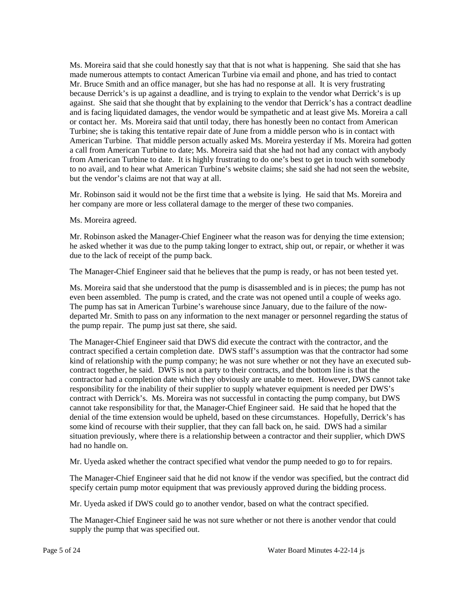Ms. Moreira said that she could honestly say that that is not what is happening. She said that she has made numerous attempts to contact American Turbine via email and phone, and has tried to contact Mr. Bruce Smith and an office manager, but she has had no response at all. It is very frustrating because Derrick's is up against a deadline, and is trying to explain to the vendor what Derrick's is up against. She said that she thought that by explaining to the vendor that Derrick's has a contract deadline and is facing liquidated damages, the vendor would be sympathetic and at least give Ms. Moreira a call or contact her. Ms. Moreira said that until today, there has honestly been no contact from American Turbine; she is taking this tentative repair date of June from a middle person who is in contact with American Turbine. That middle person actually asked Ms. Moreira yesterday if Ms. Moreira had gotten a call from American Turbine to date; Ms. Moreira said that she had not had any contact with anybody from American Turbine to date. It is highly frustrating to do one's best to get in touch with somebody to no avail, and to hear what American Turbine's website claims; she said she had not seen the website, but the vendor's claims are not that way at all.

Mr. Robinson said it would not be the first time that a website is lying. He said that Ms. Moreira and her company are more or less collateral damage to the merger of these two companies.

Ms. Moreira agreed.

Mr. Robinson asked the Manager-Chief Engineer what the reason was for denying the time extension; he asked whether it was due to the pump taking longer to extract, ship out, or repair, or whether it was due to the lack of receipt of the pump back.

The Manager-Chief Engineer said that he believes that the pump is ready, or has not been tested yet.

Ms. Moreira said that she understood that the pump is disassembled and is in pieces; the pump has not even been assembled. The pump is crated, and the crate was not opened until a couple of weeks ago. The pump has sat in American Turbine's warehouse since January, due to the failure of the nowdeparted Mr. Smith to pass on any information to the next manager or personnel regarding the status of the pump repair. The pump just sat there, she said.

The Manager-Chief Engineer said that DWS did execute the contract with the contractor, and the contract specified a certain completion date. DWS staff's assumption was that the contractor had some kind of relationship with the pump company; he was not sure whether or not they have an executed subcontract together, he said. DWS is not a party to their contracts, and the bottom line is that the contractor had a completion date which they obviously are unable to meet. However, DWS cannot take responsibility for the inability of their supplier to supply whatever equipment is needed per DWS's contract with Derrick's. Ms. Moreira was not successful in contacting the pump company, but DWS cannot take responsibility for that, the Manager-Chief Engineer said. He said that he hoped that the denial of the time extension would be upheld, based on these circumstances. Hopefully, Derrick's has some kind of recourse with their supplier, that they can fall back on, he said. DWS had a similar situation previously, where there is a relationship between a contractor and their supplier, which DWS had no handle on.

Mr. Uyeda asked whether the contract specified what vendor the pump needed to go to for repairs.

The Manager-Chief Engineer said that he did not know if the vendor was specified, but the contract did specify certain pump motor equipment that was previously approved during the bidding process.

Mr. Uyeda asked if DWS could go to another vendor, based on what the contract specified.

The Manager-Chief Engineer said he was not sure whether or not there is another vendor that could supply the pump that was specified out.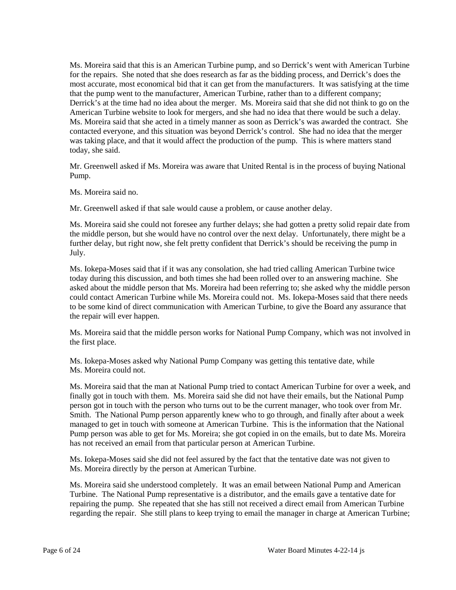Ms. Moreira said that this is an American Turbine pump, and so Derrick's went with American Turbine for the repairs. She noted that she does research as far as the bidding process, and Derrick's does the most accurate, most economical bid that it can get from the manufacturers. It was satisfying at the time that the pump went to the manufacturer, American Turbine, rather than to a different company; Derrick's at the time had no idea about the merger. Ms. Moreira said that she did not think to go on the American Turbine website to look for mergers, and she had no idea that there would be such a delay. Ms. Moreira said that she acted in a timely manner as soon as Derrick's was awarded the contract. She contacted everyone, and this situation was beyond Derrick's control. She had no idea that the merger was taking place, and that it would affect the production of the pump. This is where matters stand today, she said.

Mr. Greenwell asked if Ms. Moreira was aware that United Rental is in the process of buying National Pump.

Ms. Moreira said no.

Mr. Greenwell asked if that sale would cause a problem, or cause another delay.

Ms. Moreira said she could not foresee any further delays; she had gotten a pretty solid repair date from the middle person, but she would have no control over the next delay. Unfortunately, there might be a further delay, but right now, she felt pretty confident that Derrick's should be receiving the pump in July.

Ms. Iokepa-Moses said that if it was any consolation, she had tried calling American Turbine twice today during this discussion, and both times she had been rolled over to an answering machine. She asked about the middle person that Ms. Moreira had been referring to; she asked why the middle person could contact American Turbine while Ms. Moreira could not. Ms. Iokepa-Moses said that there needs to be some kind of direct communication with American Turbine, to give the Board any assurance that the repair will ever happen.

Ms. Moreira said that the middle person works for National Pump Company, which was not involved in the first place.

Ms. Iokepa-Moses asked why National Pump Company was getting this tentative date, while Ms. Moreira could not.

Ms. Moreira said that the man at National Pump tried to contact American Turbine for over a week, and finally got in touch with them. Ms. Moreira said she did not have their emails, but the National Pump person got in touch with the person who turns out to be the current manager, who took over from Mr. Smith. The National Pump person apparently knew who to go through, and finally after about a week managed to get in touch with someone at American Turbine. This is the information that the National Pump person was able to get for Ms. Moreira; she got copied in on the emails, but to date Ms. Moreira has not received an email from that particular person at American Turbine.

Ms. Iokepa-Moses said she did not feel assured by the fact that the tentative date was not given to Ms. Moreira directly by the person at American Turbine.

Ms. Moreira said she understood completely. It was an email between National Pump and American Turbine. The National Pump representative is a distributor, and the emails gave a tentative date for repairing the pump. She repeated that she has still not received a direct email from American Turbine regarding the repair. She still plans to keep trying to email the manager in charge at American Turbine;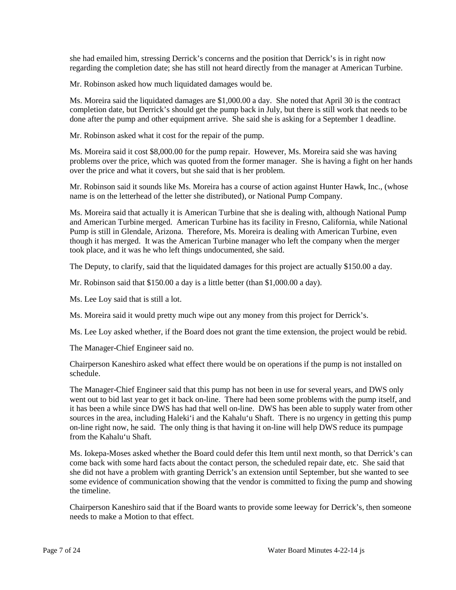she had emailed him, stressing Derrick's concerns and the position that Derrick's is in right now regarding the completion date; she has still not heard directly from the manager at American Turbine.

Mr. Robinson asked how much liquidated damages would be.

Ms. Moreira said the liquidated damages are \$1,000.00 a day. She noted that April 30 is the contract completion date, but Derrick's should get the pump back in July, but there is still work that needs to be done after the pump and other equipment arrive. She said she is asking for a September 1 deadline.

Mr. Robinson asked what it cost for the repair of the pump.

Ms. Moreira said it cost \$8,000.00 for the pump repair. However, Ms. Moreira said she was having problems over the price, which was quoted from the former manager. She is having a fight on her hands over the price and what it covers, but she said that is her problem.

Mr. Robinson said it sounds like Ms. Moreira has a course of action against Hunter Hawk, Inc., (whose name is on the letterhead of the letter she distributed), or National Pump Company.

Ms. Moreira said that actually it is American Turbine that she is dealing with, although National Pump and American Turbine merged. American Turbine has its facility in Fresno, California, while National Pump is still in Glendale, Arizona. Therefore, Ms. Moreira is dealing with American Turbine, even though it has merged. It was the American Turbine manager who left the company when the merger took place, and it was he who left things undocumented, she said.

The Deputy, to clarify, said that the liquidated damages for this project are actually \$150.00 a day.

Mr. Robinson said that \$150.00 a day is a little better (than \$1,000.00 a day).

Ms. Lee Loy said that is still a lot.

Ms. Moreira said it would pretty much wipe out any money from this project for Derrick's.

Ms. Lee Loy asked whether, if the Board does not grant the time extension, the project would be rebid.

The Manager-Chief Engineer said no.

Chairperson Kaneshiro asked what effect there would be on operations if the pump is not installed on schedule.

The Manager-Chief Engineer said that this pump has not been in use for several years, and DWS only went out to bid last year to get it back on-line. There had been some problems with the pump itself, and it has been a while since DWS has had that well on-line. DWS has been able to supply water from other sources in the area, including Haleki'i and the Kahalu'u Shaft. There is no urgency in getting this pump on-line right now, he said. The only thing is that having it on-line will help DWS reduce its pumpage from the Kahalu'u Shaft.

Ms. Iokepa-Moses asked whether the Board could defer this Item until next month, so that Derrick's can come back with some hard facts about the contact person, the scheduled repair date, etc. She said that she did not have a problem with granting Derrick's an extension until September, but she wanted to see some evidence of communication showing that the vendor is committed to fixing the pump and showing the timeline.

Chairperson Kaneshiro said that if the Board wants to provide some leeway for Derrick's, then someone needs to make a Motion to that effect.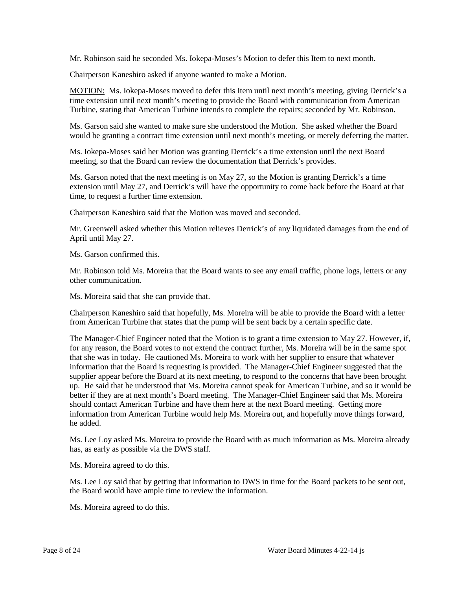Mr. Robinson said he seconded Ms. Iokepa-Moses's Motion to defer this Item to next month.

Chairperson Kaneshiro asked if anyone wanted to make a Motion.

MOTION: Ms. Iokepa-Moses moved to defer this Item until next month's meeting, giving Derrick's a time extension until next month's meeting to provide the Board with communication from American Turbine, stating that American Turbine intends to complete the repairs; seconded by Mr. Robinson.

Ms. Garson said she wanted to make sure she understood the Motion. She asked whether the Board would be granting a contract time extension until next month's meeting, or merely deferring the matter.

Ms. Iokepa-Moses said her Motion was granting Derrick's a time extension until the next Board meeting, so that the Board can review the documentation that Derrick's provides.

Ms. Garson noted that the next meeting is on May 27, so the Motion is granting Derrick's a time extension until May 27, and Derrick's will have the opportunity to come back before the Board at that time, to request a further time extension.

Chairperson Kaneshiro said that the Motion was moved and seconded.

Mr. Greenwell asked whether this Motion relieves Derrick's of any liquidated damages from the end of April until May 27.

Ms. Garson confirmed this.

Mr. Robinson told Ms. Moreira that the Board wants to see any email traffic, phone logs, letters or any other communication.

Ms. Moreira said that she can provide that.

Chairperson Kaneshiro said that hopefully, Ms. Moreira will be able to provide the Board with a letter from American Turbine that states that the pump will be sent back by a certain specific date.

The Manager-Chief Engineer noted that the Motion is to grant a time extension to May 27. However, if, for any reason, the Board votes to not extend the contract further, Ms. Moreira will be in the same spot that she was in today. He cautioned Ms. Moreira to work with her supplier to ensure that whatever information that the Board is requesting is provided. The Manager-Chief Engineer suggested that the supplier appear before the Board at its next meeting, to respond to the concerns that have been brought up. He said that he understood that Ms. Moreira cannot speak for American Turbine, and so it would be better if they are at next month's Board meeting. The Manager-Chief Engineer said that Ms. Moreira should contact American Turbine and have them here at the next Board meeting. Getting more information from American Turbine would help Ms. Moreira out, and hopefully move things forward, he added.

Ms. Lee Loy asked Ms. Moreira to provide the Board with as much information as Ms. Moreira already has, as early as possible via the DWS staff.

Ms. Moreira agreed to do this.

Ms. Lee Loy said that by getting that information to DWS in time for the Board packets to be sent out, the Board would have ample time to review the information.

Ms. Moreira agreed to do this.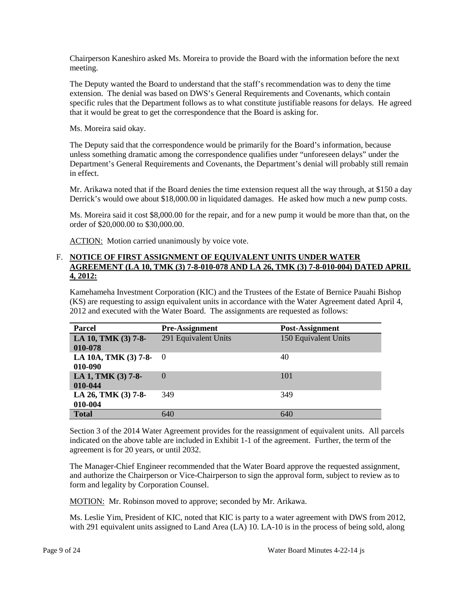Chairperson Kaneshiro asked Ms. Moreira to provide the Board with the information before the next meeting.

The Deputy wanted the Board to understand that the staff's recommendation was to deny the time extension. The denial was based on DWS's General Requirements and Covenants, which contain specific rules that the Department follows as to what constitute justifiable reasons for delays. He agreed that it would be great to get the correspondence that the Board is asking for.

Ms. Moreira said okay.

The Deputy said that the correspondence would be primarily for the Board's information, because unless something dramatic among the correspondence qualifies under "unforeseen delays" under the Department's General Requirements and Covenants, the Department's denial will probably still remain in effect.

Mr. Arikawa noted that if the Board denies the time extension request all the way through, at \$150 a day Derrick's would owe about \$18,000.00 in liquidated damages. He asked how much a new pump costs.

Ms. Moreira said it cost \$8,000.00 for the repair, and for a new pump it would be more than that, on the order of \$20,000.00 to \$30,000.00.

ACTION: Motion carried unanimously by voice vote.

### F. **NOTICE OF FIRST ASSIGNMENT OF EQUIVALENT UNITS UNDER WATER AGREEMENT (LA 10, TMK (3) 7-8-010-078 AND LA 26, TMK (3) 7-8-010-004) DATED APRIL 4, 2012:**

Kamehameha Investment Corporation (KIC) and the Trustees of the Estate of Bernice Pauahi Bishop (KS) are requesting to assign equivalent units in accordance with the Water Agreement dated April 4, 2012 and executed with the Water Board. The assignments are requested as follows:

| <b>Parcel</b>                       | <b>Pre-Assignment</b> | Post-Assignment      |
|-------------------------------------|-----------------------|----------------------|
| LA 10, TMK (3) 7-8-                 | 291 Equivalent Units  | 150 Equivalent Units |
| 010-078                             |                       |                      |
| LA 10A, TMK $(3)$ 7-8- 0<br>010-090 |                       | 40                   |
| LA 1, TMK (3) 7-8-<br>010-044       | $\Omega$              | 101                  |
| LA 26, TMK (3) 7-8-<br>010-004      | 349                   | 349                  |
| <b>Total</b>                        | 640                   | 640                  |

Section 3 of the 2014 Water Agreement provides for the reassignment of equivalent units. All parcels indicated on the above table are included in Exhibit 1-1 of the agreement. Further, the term of the agreement is for 20 years, or until 2032.

The Manager-Chief Engineer recommended that the Water Board approve the requested assignment, and authorize the Chairperson or Vice-Chairperson to sign the approval form, subject to review as to form and legality by Corporation Counsel.

MOTION: Mr. Robinson moved to approve; seconded by Mr. Arikawa.

Ms. Leslie Yim, President of KIC, noted that KIC is party to a water agreement with DWS from 2012, with 291 equivalent units assigned to Land Area (LA) 10. LA-10 is in the process of being sold, along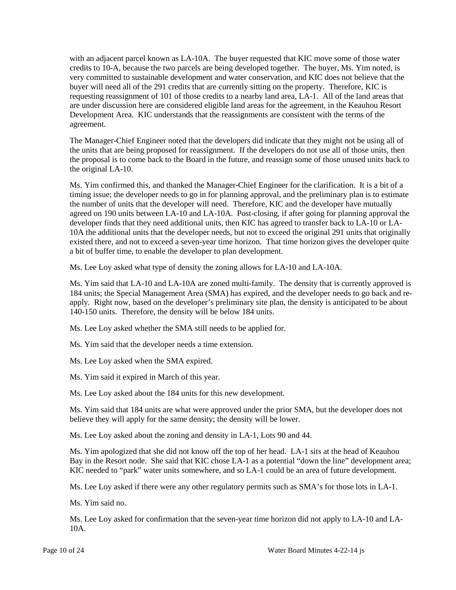with an adjacent parcel known as LA-10A. The buyer requested that KIC move some of those water credits to 10-A, because the two parcels are being developed together. The buyer, Ms. Yim noted, is very committed to sustainable development and water conservation, and KIC does not believe that the buyer will need all of the 291 credits that are currently sitting on the property. Therefore, KIC is requesting reassignment of 101 of those credits to a nearby land area, LA-1. All of the land areas that are under discussion here are considered eligible land areas for the agreement, in the Keauhou Resort Development Area. KIC understands that the reassignments are consistent with the terms of the agreement.

The Manager-Chief Engineer noted that the developers did indicate that they might not be using all of the units that are being proposed for reassignment. If the developers do not use all of those units, then the proposal is to come back to the Board in the future, and reassign some of those unused units back to the original LA-10.

Ms. Yim confirmed this, and thanked the Manager-Chief Engineer for the clarification. It is a bit of a timing issue; the developer needs to go in for planning approval, and the preliminary plan is to estimate the number of units that the developer will need. Therefore, KIC and the developer have mutually agreed on 190 units between LA-10 and LA-10A. Post-closing, if after going for planning approval the developer finds that they need additional units, then KIC has agreed to transfer back to LA-10 or LA-10A the additional units that the developer needs, but not to exceed the original 291 units that originally existed there, and not to exceed a seven-year time horizon. That time horizon gives the developer quite a bit of buffer time, to enable the developer to plan development.

Ms. Lee Loy asked what type of density the zoning allows for LA-10 and LA-10A.

Ms. Yim said that LA-10 and LA-10A are zoned multi-family. The density that is currently approved is 184 units; the Special Management Area (SMA) has expired, and the developer needs to go back and reapply. Right now, based on the developer's preliminary site plan, the density is anticipated to be about 140-150 units. Therefore, the density will be below 184 units.

Ms. Lee Loy asked whether the SMA still needs to be applied for.

Ms. Yim said that the developer needs a time extension.

Ms. Lee Loy asked when the SMA expired.

Ms. Yim said it expired in March of this year.

Ms. Lee Loy asked about the 184 units for this new development.

Ms. Yim said that 184 units are what were approved under the prior SMA, but the developer does not believe they will apply for the same density; the density will be lower.

Ms. Lee Loy asked about the zoning and density in LA-1, Lots 90 and 44.

Ms. Yim apologized that she did not know off the top of her head. LA-1 sits at the head of Keauhou Bay in the Resort node. She said that KIC chose LA-1 as a potential "down the line" development area; KIC needed to "park" water units somewhere, and so LA-1 could be an area of future development.

Ms. Lee Loy asked if there were any other regulatory permits such as SMA's for those lots in LA-1.

Ms. Yim said no.

Ms. Lee Loy asked for confirmation that the seven-year time horizon did not apply to LA-10 and LA-10A.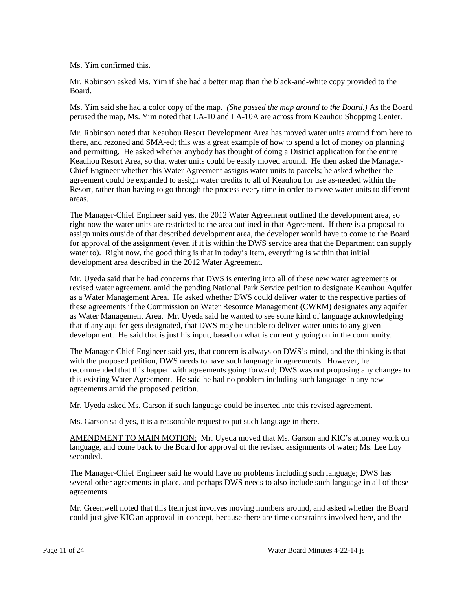Ms. Yim confirmed this.

Mr. Robinson asked Ms. Yim if she had a better map than the black-and-white copy provided to the Board.

Ms. Yim said she had a color copy of the map. *(She passed the map around to the Board.)* As the Board perused the map, Ms. Yim noted that LA-10 and LA-10A are across from Keauhou Shopping Center.

Mr. Robinson noted that Keauhou Resort Development Area has moved water units around from here to there, and rezoned and SMA-ed; this was a great example of how to spend a lot of money on planning and permitting. He asked whether anybody has thought of doing a District application for the entire Keauhou Resort Area, so that water units could be easily moved around. He then asked the Manager-Chief Engineer whether this Water Agreement assigns water units to parcels; he asked whether the agreement could be expanded to assign water credits to all of Keauhou for use as-needed within the Resort, rather than having to go through the process every time in order to move water units to different areas.

The Manager-Chief Engineer said yes, the 2012 Water Agreement outlined the development area, so right now the water units are restricted to the area outlined in that Agreement. If there is a proposal to assign units outside of that described development area, the developer would have to come to the Board for approval of the assignment (even if it is within the DWS service area that the Department can supply water to). Right now, the good thing is that in today's Item, everything is within that initial development area described in the 2012 Water Agreement.

Mr. Uyeda said that he had concerns that DWS is entering into all of these new water agreements or revised water agreement, amid the pending National Park Service petition to designate Keauhou Aquifer as a Water Management Area. He asked whether DWS could deliver water to the respective parties of these agreements if the Commission on Water Resource Management (CWRM) designates any aquifer as Water Management Area. Mr. Uyeda said he wanted to see some kind of language acknowledging that if any aquifer gets designated, that DWS may be unable to deliver water units to any given development. He said that is just his input, based on what is currently going on in the community.

The Manager-Chief Engineer said yes, that concern is always on DWS's mind, and the thinking is that with the proposed petition, DWS needs to have such language in agreements. However, he recommended that this happen with agreements going forward; DWS was not proposing any changes to this existing Water Agreement. He said he had no problem including such language in any new agreements amid the proposed petition.

Mr. Uyeda asked Ms. Garson if such language could be inserted into this revised agreement.

Ms. Garson said yes, it is a reasonable request to put such language in there.

AMENDMENT TO MAIN MOTION: Mr. Uyeda moved that Ms. Garson and KIC's attorney work on language, and come back to the Board for approval of the revised assignments of water; Ms. Lee Loy seconded.

The Manager-Chief Engineer said he would have no problems including such language; DWS has several other agreements in place, and perhaps DWS needs to also include such language in all of those agreements.

Mr. Greenwell noted that this Item just involves moving numbers around, and asked whether the Board could just give KIC an approval-in-concept, because there are time constraints involved here, and the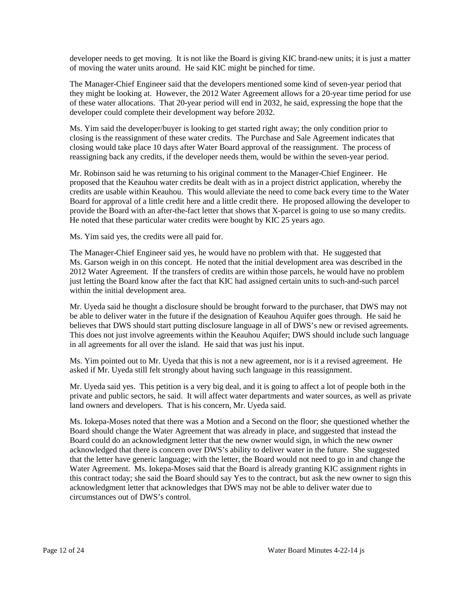developer needs to get moving. It is not like the Board is giving KIC brand-new units; it is just a matter of moving the water units around. He said KIC might be pinched for time.

The Manager-Chief Engineer said that the developers mentioned some kind of seven-year period that they might be looking at. However, the 2012 Water Agreement allows for a 20-year time period for use of these water allocations. That 20-year period will end in 2032, he said, expressing the hope that the developer could complete their development way before 2032.

Ms. Yim said the developer/buyer is looking to get started right away; the only condition prior to closing is the reassignment of these water credits. The Purchase and Sale Agreement indicates that closing would take place 10 days after Water Board approval of the reassignment. The process of reassigning back any credits, if the developer needs them, would be within the seven-year period.

Mr. Robinson said he was returning to his original comment to the Manager-Chief Engineer. He proposed that the Keauhou water credits be dealt with as in a project district application, whereby the credits are usable within Keauhou. This would alleviate the need to come back every time to the Water Board for approval of a little credit here and a little credit there. He proposed allowing the developer to provide the Board with an after-the-fact letter that shows that X-parcel is going to use so many credits. He noted that these particular water credits were bought by KIC 25 years ago.

Ms. Yim said yes, the credits were all paid for.

The Manager-Chief Engineer said yes, he would have no problem with that. He suggested that Ms. Garson weigh in on this concept. He noted that the initial development area was described in the 2012 Water Agreement. If the transfers of credits are within those parcels, he would have no problem just letting the Board know after the fact that KIC had assigned certain units to such-and-such parcel within the initial development area.

Mr. Uyeda said he thought a disclosure should be brought forward to the purchaser, that DWS may not be able to deliver water in the future if the designation of Keauhou Aquifer goes through. He said he believes that DWS should start putting disclosure language in all of DWS's new or revised agreements. This does not just involve agreements within the Keauhou Aquifer; DWS should include such language in all agreements for all over the island. He said that was just his input.

Ms. Yim pointed out to Mr. Uyeda that this is not a new agreement, nor is it a revised agreement. He asked if Mr. Uyeda still felt strongly about having such language in this reassignment.

Mr. Uyeda said yes. This petition is a very big deal, and it is going to affect a lot of people both in the private and public sectors, he said. It will affect water departments and water sources, as well as private land owners and developers. That is his concern, Mr. Uyeda said.

Ms. Iokepa-Moses noted that there was a Motion and a Second on the floor; she questioned whether the Board should change the Water Agreement that was already in place, and suggested that instead the Board could do an acknowledgment letter that the new owner would sign, in which the new owner acknowledged that there is concern over DWS's ability to deliver water in the future. She suggested that the letter have generic language; with the letter, the Board would not need to go in and change the Water Agreement. Ms. Iokepa-Moses said that the Board is already granting KIC assignment rights in this contract today; she said the Board should say Yes to the contract, but ask the new owner to sign this acknowledgment letter that acknowledges that DWS may not be able to deliver water due to circumstances out of DWS's control.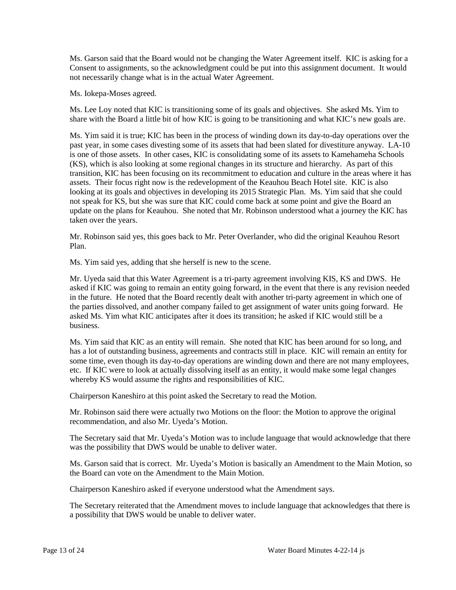Ms. Garson said that the Board would not be changing the Water Agreement itself. KIC is asking for a Consent to assignments, so the acknowledgment could be put into this assignment document. It would not necessarily change what is in the actual Water Agreement.

Ms. Iokepa-Moses agreed.

Ms. Lee Loy noted that KIC is transitioning some of its goals and objectives. She asked Ms. Yim to share with the Board a little bit of how KIC is going to be transitioning and what KIC's new goals are.

Ms. Yim said it is true; KIC has been in the process of winding down its day-to-day operations over the past year, in some cases divesting some of its assets that had been slated for divestiture anyway. LA-10 is one of those assets. In other cases, KIC is consolidating some of its assets to Kamehameha Schools (KS), which is also looking at some regional changes in its structure and hierarchy. As part of this transition, KIC has been focusing on its recommitment to education and culture in the areas where it has assets. Their focus right now is the redevelopment of the Keauhou Beach Hotel site. KIC is also looking at its goals and objectives in developing its 2015 Strategic Plan. Ms. Yim said that she could not speak for KS, but she was sure that KIC could come back at some point and give the Board an update on the plans for Keauhou. She noted that Mr. Robinson understood what a journey the KIC has taken over the years.

Mr. Robinson said yes, this goes back to Mr. Peter Overlander, who did the original Keauhou Resort Plan.

Ms. Yim said yes, adding that she herself is new to the scene.

Mr. Uyeda said that this Water Agreement is a tri-party agreement involving KIS, KS and DWS. He asked if KIC was going to remain an entity going forward, in the event that there is any revision needed in the future. He noted that the Board recently dealt with another tri-party agreement in which one of the parties dissolved, and another company failed to get assignment of water units going forward. He asked Ms. Yim what KIC anticipates after it does its transition; he asked if KIC would still be a business.

Ms. Yim said that KIC as an entity will remain. She noted that KIC has been around for so long, and has a lot of outstanding business, agreements and contracts still in place. KIC will remain an entity for some time, even though its day-to-day operations are winding down and there are not many employees, etc. If KIC were to look at actually dissolving itself as an entity, it would make some legal changes whereby KS would assume the rights and responsibilities of KIC.

Chairperson Kaneshiro at this point asked the Secretary to read the Motion.

Mr. Robinson said there were actually two Motions on the floor: the Motion to approve the original recommendation, and also Mr. Uyeda's Motion.

The Secretary said that Mr. Uyeda's Motion was to include language that would acknowledge that there was the possibility that DWS would be unable to deliver water.

Ms. Garson said that is correct. Mr. Uyeda's Motion is basically an Amendment to the Main Motion, so the Board can vote on the Amendment to the Main Motion.

Chairperson Kaneshiro asked if everyone understood what the Amendment says.

The Secretary reiterated that the Amendment moves to include language that acknowledges that there is a possibility that DWS would be unable to deliver water.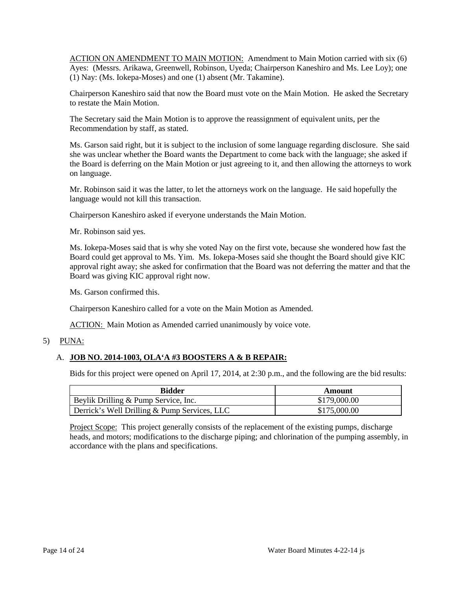ACTION ON AMENDMENT TO MAIN MOTION: Amendment to Main Motion carried with six (6) Ayes: (Messrs. Arikawa, Greenwell, Robinson, Uyeda; Chairperson Kaneshiro and Ms. Lee Loy); one (1) Nay: (Ms. Iokepa-Moses) and one (1) absent (Mr. Takamine).

Chairperson Kaneshiro said that now the Board must vote on the Main Motion. He asked the Secretary to restate the Main Motion.

The Secretary said the Main Motion is to approve the reassignment of equivalent units, per the Recommendation by staff, as stated.

Ms. Garson said right, but it is subject to the inclusion of some language regarding disclosure. She said she was unclear whether the Board wants the Department to come back with the language; she asked if the Board is deferring on the Main Motion or just agreeing to it, and then allowing the attorneys to work on language.

Mr. Robinson said it was the latter, to let the attorneys work on the language. He said hopefully the language would not kill this transaction.

Chairperson Kaneshiro asked if everyone understands the Main Motion.

Mr. Robinson said yes.

Ms. Iokepa-Moses said that is why she voted Nay on the first vote, because she wondered how fast the Board could get approval to Ms. Yim. Ms. Iokepa-Moses said she thought the Board should give KIC approval right away; she asked for confirmation that the Board was not deferring the matter and that the Board was giving KIC approval right now.

Ms. Garson confirmed this.

Chairperson Kaneshiro called for a vote on the Main Motion as Amended.

ACTION: Main Motion as Amended carried unanimously by voice vote.

#### 5) PUNA:

### A. **JOB NO. 2014-1003, OLA'A #3 BOOSTERS A & B REPAIR:**

Bids for this project were opened on April 17, 2014, at 2:30 p.m., and the following are the bid results:

| <b>Bidder</b>                                | Amount       |
|----------------------------------------------|--------------|
| Beylik Drilling & Pump Service, Inc.         | \$179,000.00 |
| Derrick's Well Drilling & Pump Services, LLC | \$175,000.00 |

Project Scope: This project generally consists of the replacement of the existing pumps, discharge heads, and motors; modifications to the discharge piping; and chlorination of the pumping assembly, in accordance with the plans and specifications.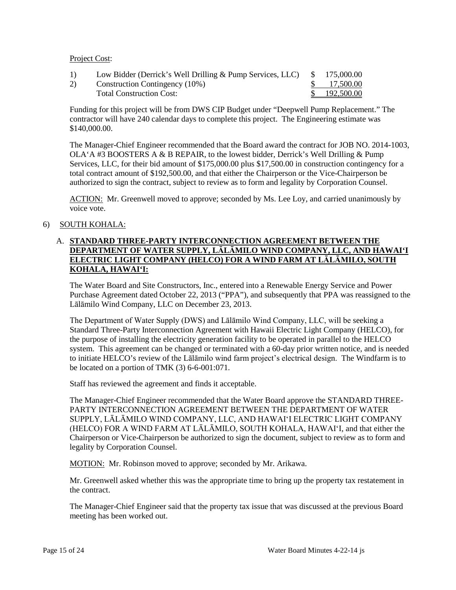### Project Cost:

| 1) | Low Bidder (Derrick's Well Drilling & Pump Services, LLC) \$175,000.00 |               |
|----|------------------------------------------------------------------------|---------------|
| 2) | Construction Contingency (10%)                                         | \$ 17.500.00  |
|    | <b>Total Construction Cost:</b>                                        | \$ 192,500.00 |

Funding for this project will be from DWS CIP Budget under "Deepwell Pump Replacement." The contractor will have 240 calendar days to complete this project. The Engineering estimate was \$140,000.00.

The Manager-Chief Engineer recommended that the Board award the contract for JOB NO. 2014-1003,  $OLA'A$  #3 BOOSTERS A & B REPAIR, to the lowest bidder, Derrick's Well Drilling & Pump Services, LLC, for their bid amount of \$175,000.00 plus \$17,500.00 in construction contingency for a total contract amount of \$192,500.00, and that either the Chairperson or the Vice-Chairperson be authorized to sign the contract, subject to review as to form and legality by Corporation Counsel.

ACTION: Mr. Greenwell moved to approve; seconded by Ms. Lee Loy, and carried unanimously by voice vote.

### 6) SOUTH KOHALA:

### A. **STANDARD THREE-PARTY INTERCONNECTION AGREEMENT BETWEEN THE DEPARTMENT OF WATER SUPPLY, LĀLĀMILO WIND COMPANY, LLC, AND HAWAI'I ELECTRIC LIGHT COMPANY (HELCO) FOR A WIND FARM AT LĀLĀMILO, SOUTH KOHALA, HAWAI'I:**

The Water Board and Site Constructors, Inc., entered into a Renewable Energy Service and Power Purchase Agreement dated October 22, 2013 ("PPA"), and subsequently that PPA was reassigned to the Lālāmilo Wind Company, LLC on December 23, 2013.

The Department of Water Supply (DWS) and Lālāmilo Wind Company, LLC, will be seeking a Standard Three-Party Interconnection Agreement with Hawaii Electric Light Company (HELCO), for the purpose of installing the electricity generation facility to be operated in parallel to the HELCO system. This agreement can be changed or terminated with a 60-day prior written notice, and is needed to initiate HELCO's review of the Lālāmilo wind farm project's electrical design. The Windfarm is to be located on a portion of TMK (3) 6-6-001:071.

Staff has reviewed the agreement and finds it acceptable.

The Manager-Chief Engineer recommended that the Water Board approve the STANDARD THREE-PARTY INTERCONNECTION AGREEMENT BETWEEN THE DEPARTMENT OF WATER SUPPLY, LĀLĀMILO WIND COMPANY, LLC, AND HAWAI'I ELECTRIC LIGHT COMPANY (HELCO) FOR A WIND FARM AT LĀLĀMILO, SOUTH KOHALA, HAWAI'I, and that either the Chairperson or Vice-Chairperson be authorized to sign the document, subject to review as to form and legality by Corporation Counsel.

MOTION: Mr. Robinson moved to approve; seconded by Mr. Arikawa.

Mr. Greenwell asked whether this was the appropriate time to bring up the property tax restatement in the contract.

The Manager-Chief Engineer said that the property tax issue that was discussed at the previous Board meeting has been worked out.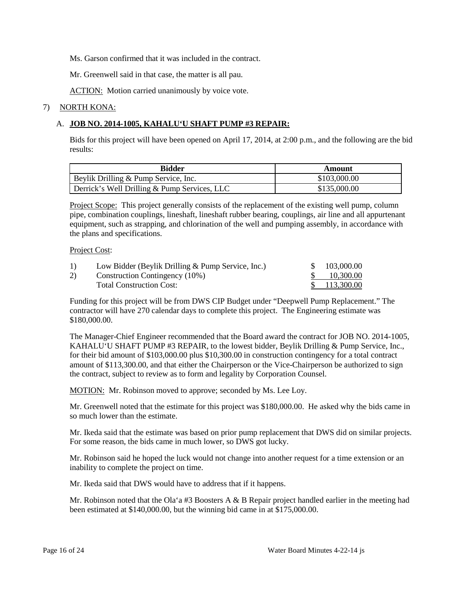Ms. Garson confirmed that it was included in the contract.

Mr. Greenwell said in that case, the matter is all pau.

ACTION: Motion carried unanimously by voice vote.

#### 7) NORTH KONA:

### A. **JOB NO. 2014-1005, KAHALU'U SHAFT PUMP #3 REPAIR:**

Bids for this project will have been opened on April 17, 2014, at 2:00 p.m., and the following are the bid results:

| <b>Bidder</b>                                | Amount       |
|----------------------------------------------|--------------|
| Beylik Drilling & Pump Service, Inc.         | \$103,000.00 |
| Derrick's Well Drilling & Pump Services, LLC | \$135,000.00 |

Project Scope: This project generally consists of the replacement of the existing well pump, column pipe, combination couplings, lineshaft, lineshaft rubber bearing, couplings, air line and all appurtenant equipment, such as strapping, and chlorination of the well and pumping assembly, in accordance with the plans and specifications.

#### Project Cost:

| 1) | Low Bidder (Beylik Drilling $&$ Pump Service, Inc.) | 103,000.00   |
|----|-----------------------------------------------------|--------------|
| 2) | Construction Contingency (10%)                      | 10,300.00    |
|    | <b>Total Construction Cost:</b>                     | \$113,300.00 |

Funding for this project will be from DWS CIP Budget under "Deepwell Pump Replacement." The contractor will have 270 calendar days to complete this project. The Engineering estimate was \$180,000.00.

The Manager-Chief Engineer recommended that the Board award the contract for JOB NO. 2014-1005, KAHALU'U SHAFT PUMP #3 REPAIR, to the lowest bidder, Beylik Drilling & Pump Service, Inc., for their bid amount of \$103,000.00 plus \$10,300.00 in construction contingency for a total contract amount of \$113,300.00, and that either the Chairperson or the Vice-Chairperson be authorized to sign the contract, subject to review as to form and legality by Corporation Counsel.

MOTION: Mr. Robinson moved to approve; seconded by Ms. Lee Loy.

Mr. Greenwell noted that the estimate for this project was \$180,000.00. He asked why the bids came in so much lower than the estimate.

Mr. Ikeda said that the estimate was based on prior pump replacement that DWS did on similar projects. For some reason, the bids came in much lower, so DWS got lucky.

Mr. Robinson said he hoped the luck would not change into another request for a time extension or an inability to complete the project on time.

Mr. Ikeda said that DWS would have to address that if it happens.

Mr. Robinson noted that the Ola'a #3 Boosters A & B Repair project handled earlier in the meeting had been estimated at \$140,000.00, but the winning bid came in at \$175,000.00.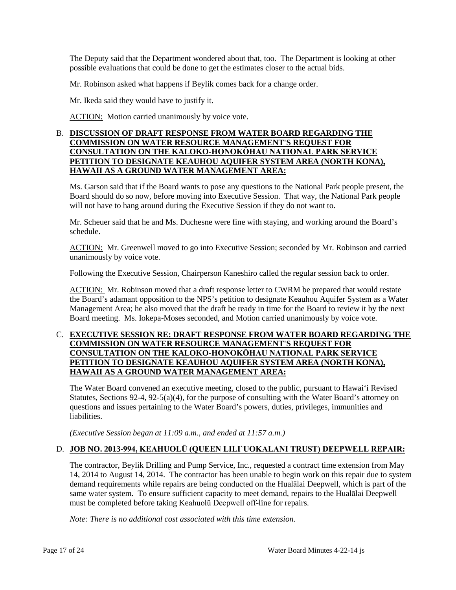The Deputy said that the Department wondered about that, too. The Department is looking at other possible evaluations that could be done to get the estimates closer to the actual bids.

Mr. Robinson asked what happens if Beylik comes back for a change order.

Mr. Ikeda said they would have to justify it.

ACTION: Motion carried unanimously by voice vote.

### B. **DISCUSSION OF DRAFT RESPONSE FROM WATER BOARD REGARDING THE COMMISSION ON WATER RESOURCE MANAGEMENT'S REQUEST FOR CONSULTATION ON THE KALOKO-HONOKŌHAU NATIONAL PARK SERVICE PETITION TO DESIGNATE KEAUHOU AQUIFER SYSTEM AREA (NORTH KONA), HAWAII AS A GROUND WATER MANAGEMENT AREA:**

Ms. Garson said that if the Board wants to pose any questions to the National Park people present, the Board should do so now, before moving into Executive Session. That way, the National Park people will not have to hang around during the Executive Session if they do not want to.

Mr. Scheuer said that he and Ms. Duchesne were fine with staying, and working around the Board's schedule.

ACTION: Mr. Greenwell moved to go into Executive Session; seconded by Mr. Robinson and carried unanimously by voice vote.

Following the Executive Session, Chairperson Kaneshiro called the regular session back to order.

ACTION: Mr. Robinson moved that a draft response letter to CWRM be prepared that would restate the Board's adamant opposition to the NPS's petition to designate Keauhou Aquifer System as a Water Management Area; he also moved that the draft be ready in time for the Board to review it by the next Board meeting. Ms. Iokepa-Moses seconded, and Motion carried unanimously by voice vote.

### C. **EXECUTIVE SESSION RE: DRAFT RESPONSE FROM WATER BOARD REGARDING THE COMMISSION ON WATER RESOURCE MANAGEMENT'S REQUEST FOR CONSULTATION ON THE KALOKO-HONOKŌHAU NATIONAL PARK SERVICE PETITION TO DESIGNATE KEAUHOU AQUIFER SYSTEM AREA (NORTH KONA), HAWAII AS A GROUND WATER MANAGEMENT AREA:**

The Water Board convened an executive meeting, closed to the public, pursuant to Hawai'i Revised Statutes, Sections 92-4, 92-5(a)(4), for the purpose of consulting with the Water Board's attorney on questions and issues pertaining to the Water Board's powers, duties, privileges, immunities and liabilities.

*(Executive Session began at 11:09 a.m., and ended at 11:57 a.m.)*

# D. **JOB NO. 2013-994, KEAHUOLŪ (QUEEN LILI`UOKALANI TRUST) DEEPWELL REPAIR:**

The contractor, Beylik Drilling and Pump Service, Inc., requested a contract time extension from May 14, 2014 to August 14, 2014. The contractor has been unable to begin work on this repair due to system demand requirements while repairs are being conducted on the Hualālai Deepwell, which is part of the same water system. To ensure sufficient capacity to meet demand, repairs to the Hualālai Deepwell must be completed before taking Keahuolū Deepwell off-line for repairs.

*Note: There is no additional cost associated with this time extension.*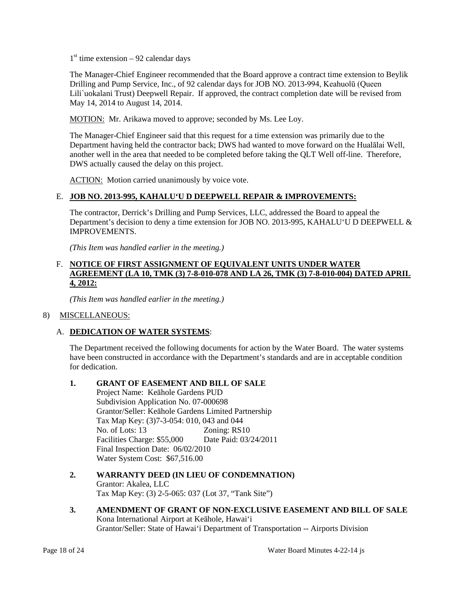$1<sup>st</sup>$  time extension – 92 calendar days

The Manager-Chief Engineer recommended that the Board approve a contract time extension to Beylik Drilling and Pump Service, Inc., of 92 calendar days for JOB NO. 2013-994, Keahuolū (Queen Lili`uokalani Trust) Deepwell Repair. If approved, the contract completion date will be revised from May 14, 2014 to August 14, 2014.

MOTION: Mr. Arikawa moved to approve; seconded by Ms. Lee Loy.

The Manager-Chief Engineer said that this request for a time extension was primarily due to the Department having held the contractor back; DWS had wanted to move forward on the Hualālai Well, another well in the area that needed to be completed before taking the QLT Well off-line. Therefore, DWS actually caused the delay on this project.

ACTION: Motion carried unanimously by voice vote.

# E. **JOB NO. 2013-995, KAHALU'U D DEEPWELL REPAIR & IMPROVEMENTS:**

The contractor, Derrick's Drilling and Pump Services, LLC, addressed the Board to appeal the Department's decision to deny a time extension for JOB NO. 2013-995, KAHALU'U D DEEPWELL & IMPROVEMENTS.

*(This Item was handled earlier in the meeting.)*

### F. **NOTICE OF FIRST ASSIGNMENT OF EQUIVALENT UNITS UNDER WATER AGREEMENT (LA 10, TMK (3) 7-8-010-078 AND LA 26, TMK (3) 7-8-010-004) DATED APRIL 4, 2012:**

*(This Item was handled earlier in the meeting.)*

# 8) MISCELLANEOUS:

# A. **DEDICATION OF WATER SYSTEMS**:

The Department received the following documents for action by the Water Board. The water systems have been constructed in accordance with the Department's standards and are in acceptable condition for dedication.

# **1. GRANT OF EASEMENT AND BILL OF SALE**

Project Name: Keāhole Gardens PUD Subdivision Application No. 07-000698 Grantor/Seller: Keāhole Gardens Limited Partnership Tax Map Key: (3)7-3-054: 010, 043 and 044<br>No. of Lots: 13 Zoning: RS1 Zoning: RS10 Facilities Charge: \$55,000 Date Paid: 03/24/2011 Final Inspection Date: 06/02/2010 Water System Cost: \$67,516.00

- **2. WARRANTY DEED (IN LIEU OF CONDEMNATION)** Grantor: Akalea, LLC Tax Map Key: (3) 2-5-065: 037 (Lot 37, "Tank Site")
- **3. AMENDMENT OF GRANT OF NON-EXCLUSIVE EASEMENT AND BILL OF SALE** Kona International Airport at Keāhole, Hawai'i Grantor/Seller: State of Hawai'i Department of Transportation -- Airports Division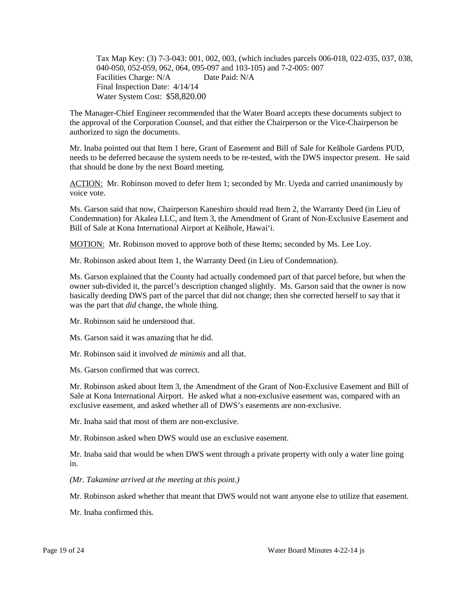Tax Map Key: (3) 7-3-043: 001, 002, 003, (which includes parcels 006-018, 022-035, 037, 038, 040-050, 052-059, 062, 064, 095-097 and 103-105) and 7-2-005: 007 Facilities Charge: N/A Date Paid: N/A Final Inspection Date: 4/14/14 Water System Cost: \$58,820.00

The Manager-Chief Engineer recommended that the Water Board accepts these documents subject to the approval of the Corporation Counsel, and that either the Chairperson or the Vice-Chairperson be authorized to sign the documents.

Mr. Inaba pointed out that Item 1 here, Grant of Easement and Bill of Sale for Keāhole Gardens PUD, needs to be deferred because the system needs to be re-tested, with the DWS inspector present. He said that should be done by the next Board meeting.

ACTION: Mr. Robinson moved to defer Item 1; seconded by Mr. Uyeda and carried unanimously by voice vote.

Ms. Garson said that now, Chairperson Kaneshiro should read Item 2, the Warranty Deed (in Lieu of Condemnation) for Akalea LLC, and Item 3, the Amendment of Grant of Non-Exclusive Easement and Bill of Sale at Kona International Airport at Keāhole, Hawai'i.

MOTION: Mr. Robinson moved to approve both of these Items; seconded by Ms. Lee Loy.

Mr. Robinson asked about Item 1, the Warranty Deed (in Lieu of Condemnation).

Ms. Garson explained that the County had actually condemned part of that parcel before, but when the owner sub-divided it, the parcel's description changed slightly. Ms. Garson said that the owner is now basically deeding DWS part of the parcel that did not change; then she corrected herself to say that it was the part that *did* change, the whole thing.

Mr. Robinson said he understood that.

Ms. Garson said it was amazing that he did.

Mr. Robinson said it involved *de minimis* and all that.

Ms. Garson confirmed that was correct.

Mr. Robinson asked about Item 3, the Amendment of the Grant of Non-Exclusive Easement and Bill of Sale at Kona International Airport. He asked what a non-exclusive easement was, compared with an exclusive easement, and asked whether all of DWS's easements are non-exclusive.

Mr. Inaba said that most of them are non-exclusive.

Mr. Robinson asked when DWS would use an exclusive easement.

Mr. Inaba said that would be when DWS went through a private property with only a water line going in.

*(Mr. Takamine arrived at the meeting at this point.)*

Mr. Robinson asked whether that meant that DWS would not want anyone else to utilize that easement.

Mr. Inaba confirmed this.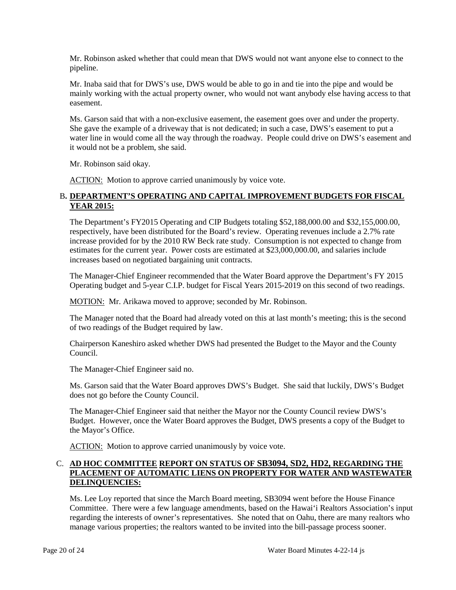Mr. Robinson asked whether that could mean that DWS would not want anyone else to connect to the pipeline.

Mr. Inaba said that for DWS's use, DWS would be able to go in and tie into the pipe and would be mainly working with the actual property owner, who would not want anybody else having access to that easement.

Ms. Garson said that with a non-exclusive easement, the easement goes over and under the property. She gave the example of a driveway that is not dedicated; in such a case, DWS's easement to put a water line in would come all the way through the roadway. People could drive on DWS's easement and it would not be a problem, she said.

Mr. Robinson said okay.

ACTION: Motion to approve carried unanimously by voice vote.

# B**. DEPARTMENT'S OPERATING AND CAPITAL IMPROVEMENT BUDGETS FOR FISCAL YEAR 2015:**

The Department's FY2015 Operating and CIP Budgets totaling \$52,188,000.00 and \$32,155,000.00, respectively, have been distributed for the Board's review. Operating revenues include a 2.7% rate increase provided for by the 2010 RW Beck rate study. Consumption is not expected to change from estimates for the current year. Power costs are estimated at \$23,000,000.00, and salaries include increases based on negotiated bargaining unit contracts.

The Manager-Chief Engineer recommended that the Water Board approve the Department's FY 2015 Operating budget and 5-year C.I.P. budget for Fiscal Years 2015-2019 on this second of two readings.

MOTION: Mr. Arikawa moved to approve; seconded by Mr. Robinson.

The Manager noted that the Board had already voted on this at last month's meeting; this is the second of two readings of the Budget required by law.

Chairperson Kaneshiro asked whether DWS had presented the Budget to the Mayor and the County Council.

The Manager-Chief Engineer said no.

Ms. Garson said that the Water Board approves DWS's Budget. She said that luckily, DWS's Budget does not go before the County Council.

The Manager-Chief Engineer said that neither the Mayor nor the County Council review DWS's Budget. However, once the Water Board approves the Budget, DWS presents a copy of the Budget to the Mayor's Office.

ACTION: Motion to approve carried unanimously by voice vote.

# C. **AD HOC COMMITTEE REPORT ON STATUS OF SB3094, SD2, HD2, REGARDING THE PLACEMENT OF AUTOMATIC LIENS ON PROPERTY FOR WATER AND WASTEWATER DELINQUENCIES:**

Ms. Lee Loy reported that since the March Board meeting, SB3094 went before the House Finance Committee. There were a few language amendments, based on the Hawai'i Realtors Association's input regarding the interests of owner's representatives. She noted that on Oahu, there are many realtors who manage various properties; the realtors wanted to be invited into the bill-passage process sooner.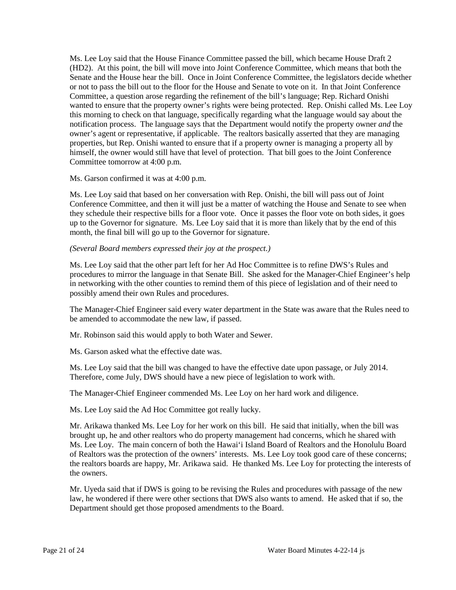Ms. Lee Loy said that the House Finance Committee passed the bill, which became House Draft 2 (HD2). At this point, the bill will move into Joint Conference Committee, which means that both the Senate and the House hear the bill. Once in Joint Conference Committee, the legislators decide whether or not to pass the bill out to the floor for the House and Senate to vote on it. In that Joint Conference Committee, a question arose regarding the refinement of the bill's language; Rep. Richard Onishi wanted to ensure that the property owner's rights were being protected. Rep. Onishi called Ms. Lee Loy this morning to check on that language, specifically regarding what the language would say about the notification process. The language says that the Department would notify the property owner *and* the owner's agent or representative, if applicable. The realtors basically asserted that they are managing properties, but Rep. Onishi wanted to ensure that if a property owner is managing a property all by himself, the owner would still have that level of protection. That bill goes to the Joint Conference Committee tomorrow at 4:00 p.m.

Ms. Garson confirmed it was at 4:00 p.m.

Ms. Lee Loy said that based on her conversation with Rep. Onishi, the bill will pass out of Joint Conference Committee, and then it will just be a matter of watching the House and Senate to see when they schedule their respective bills for a floor vote. Once it passes the floor vote on both sides, it goes up to the Governor for signature. Ms. Lee Loy said that it is more than likely that by the end of this month, the final bill will go up to the Governor for signature.

#### *(Several Board members expressed their joy at the prospect.)*

Ms. Lee Loy said that the other part left for her Ad Hoc Committee is to refine DWS's Rules and procedures to mirror the language in that Senate Bill. She asked for the Manager-Chief Engineer's help in networking with the other counties to remind them of this piece of legislation and of their need to possibly amend their own Rules and procedures.

The Manager-Chief Engineer said every water department in the State was aware that the Rules need to be amended to accommodate the new law, if passed.

Mr. Robinson said this would apply to both Water and Sewer.

Ms. Garson asked what the effective date was.

Ms. Lee Loy said that the bill was changed to have the effective date upon passage, or July 2014. Therefore, come July, DWS should have a new piece of legislation to work with.

The Manager-Chief Engineer commended Ms. Lee Loy on her hard work and diligence.

Ms. Lee Loy said the Ad Hoc Committee got really lucky.

Mr. Arikawa thanked Ms. Lee Loy for her work on this bill. He said that initially, when the bill was brought up, he and other realtors who do property management had concerns, which he shared with Ms. Lee Loy. The main concern of both the Hawai'i Island Board of Realtors and the Honolulu Board of Realtors was the protection of the owners' interests. Ms. Lee Loy took good care of these concerns; the realtors boards are happy, Mr. Arikawa said. He thanked Ms. Lee Loy for protecting the interests of the owners.

Mr. Uyeda said that if DWS is going to be revising the Rules and procedures with passage of the new law, he wondered if there were other sections that DWS also wants to amend. He asked that if so, the Department should get those proposed amendments to the Board.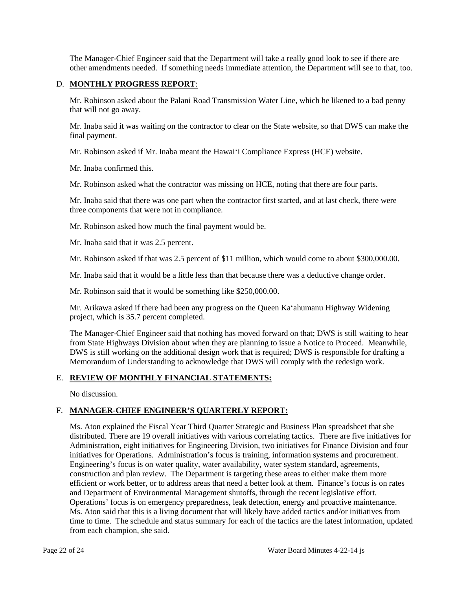The Manager-Chief Engineer said that the Department will take a really good look to see if there are other amendments needed. If something needs immediate attention, the Department will see to that, too.

### D. **MONTHLY PROGRESS REPORT**:

Mr. Robinson asked about the Palani Road Transmission Water Line, which he likened to a bad penny that will not go away.

Mr. Inaba said it was waiting on the contractor to clear on the State website, so that DWS can make the final payment.

Mr. Robinson asked if Mr. Inaba meant the Hawai'i Compliance Express (HCE) website.

Mr. Inaba confirmed this.

Mr. Robinson asked what the contractor was missing on HCE, noting that there are four parts.

Mr. Inaba said that there was one part when the contractor first started, and at last check, there were three components that were not in compliance.

Mr. Robinson asked how much the final payment would be.

Mr. Inaba said that it was 2.5 percent.

Mr. Robinson asked if that was 2.5 percent of \$11 million, which would come to about \$300,000.00.

Mr. Inaba said that it would be a little less than that because there was a deductive change order.

Mr. Robinson said that it would be something like \$250,000.00.

Mr. Arikawa asked if there had been any progress on the Queen Ka'ahumanu Highway Widening project, which is 35.7 percent completed.

The Manager-Chief Engineer said that nothing has moved forward on that; DWS is still waiting to hear from State Highways Division about when they are planning to issue a Notice to Proceed. Meanwhile, DWS is still working on the additional design work that is required; DWS is responsible for drafting a Memorandum of Understanding to acknowledge that DWS will comply with the redesign work.

### E. **REVIEW OF MONTHLY FINANCIAL STATEMENTS:**

No discussion.

### F. **MANAGER-CHIEF ENGINEER'S QUARTERLY REPORT:**

Ms. Aton explained the Fiscal Year Third Quarter Strategic and Business Plan spreadsheet that she distributed. There are 19 overall initiatives with various correlating tactics. There are five initiatives for Administration, eight initiatives for Engineering Division, two initiatives for Finance Division and four initiatives for Operations. Administration's focus is training, information systems and procurement. Engineering's focus is on water quality, water availability, water system standard, agreements, construction and plan review. The Department is targeting these areas to either make them more efficient or work better, or to address areas that need a better look at them. Finance's focus is on rates and Department of Environmental Management shutoffs, through the recent legislative effort. Operations' focus is on emergency preparedness, leak detection, energy and proactive maintenance. Ms. Aton said that this is a living document that will likely have added tactics and/or initiatives from time to time. The schedule and status summary for each of the tactics are the latest information, updated from each champion, she said.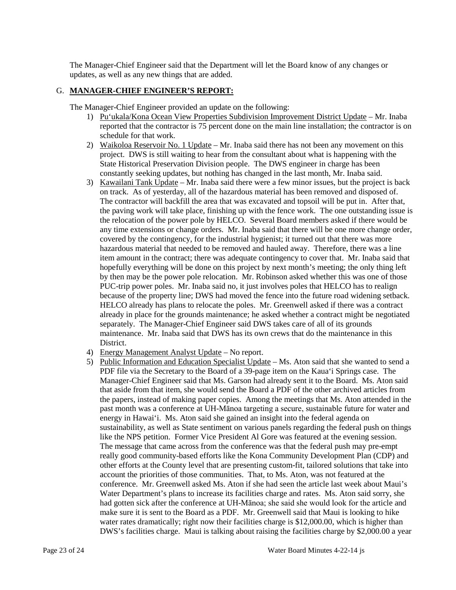The Manager-Chief Engineer said that the Department will let the Board know of any changes or updates, as well as any new things that are added.

### G. **MANAGER-CHIEF ENGINEER'S REPORT:**

The Manager-Chief Engineer provided an update on the following:

- 1) Pu'ukala/Kona Ocean View Properties Subdivision Improvement District Update Mr. Inaba reported that the contractor is 75 percent done on the main line installation; the contractor is on schedule for that work.
- 2) Waikoloa Reservoir No. 1 Update Mr. Inaba said there has not been any movement on this project. DWS is still waiting to hear from the consultant about what is happening with the State Historical Preservation Division people. The DWS engineer in charge has been constantly seeking updates, but nothing has changed in the last month, Mr. Inaba said.
- 3) Kawailani Tank Update Mr. Inaba said there were a few minor issues, but the project is back on track. As of yesterday, all of the hazardous material has been removed and disposed of. The contractor will backfill the area that was excavated and topsoil will be put in. After that, the paving work will take place, finishing up with the fence work. The one outstanding issue is the relocation of the power pole by HELCO. Several Board members asked if there would be any time extensions or change orders. Mr. Inaba said that there will be one more change order, covered by the contingency, for the industrial hygienist; it turned out that there was more hazardous material that needed to be removed and hauled away. Therefore, there was a line item amount in the contract; there was adequate contingency to cover that. Mr. Inaba said that hopefully everything will be done on this project by next month's meeting; the only thing left by then may be the power pole relocation. Mr. Robinson asked whether this was one of those PUC-trip power poles. Mr. Inaba said no, it just involves poles that HELCO has to realign because of the property line; DWS had moved the fence into the future road widening setback. HELCO already has plans to relocate the poles. Mr. Greenwell asked if there was a contract already in place for the grounds maintenance; he asked whether a contract might be negotiated separately. The Manager-Chief Engineer said DWS takes care of all of its grounds maintenance. Mr. Inaba said that DWS has its own crews that do the maintenance in this District.
- 4) Energy Management Analyst Update No report.
- 5) Public Information and Education Specialist Update Ms. Aton said that she wanted to send a PDF file via the Secretary to the Board of a 39-page item on the Kaua'i Springs case. The Manager-Chief Engineer said that Ms. Garson had already sent it to the Board. Ms. Aton said that aside from that item, she would send the Board a PDF of the other archived articles from the papers, instead of making paper copies. Among the meetings that Ms. Aton attended in the past month was a conference at UH-Mānoa targeting a secure, sustainable future for water and energy in Hawai'i. Ms. Aton said she gained an insight into the federal agenda on sustainability, as well as State sentiment on various panels regarding the federal push on things like the NPS petition. Former Vice President Al Gore was featured at the evening session. The message that came across from the conference was that the federal push may pre-empt really good community-based efforts like the Kona Community Development Plan (CDP) and other efforts at the County level that are presenting custom-fit, tailored solutions that take into account the priorities of those communities. That, to Ms. Aton, was not featured at the conference. Mr. Greenwell asked Ms. Aton if she had seen the article last week about Maui's Water Department's plans to increase its facilities charge and rates. Ms. Aton said sorry, she had gotten sick after the conference at UH-Mānoa; she said she would look for the article and make sure it is sent to the Board as a PDF. Mr. Greenwell said that Maui is looking to hike water rates dramatically; right now their facilities charge is \$12,000.00, which is higher than DWS's facilities charge. Maui is talking about raising the facilities charge by \$2,000.00 a year